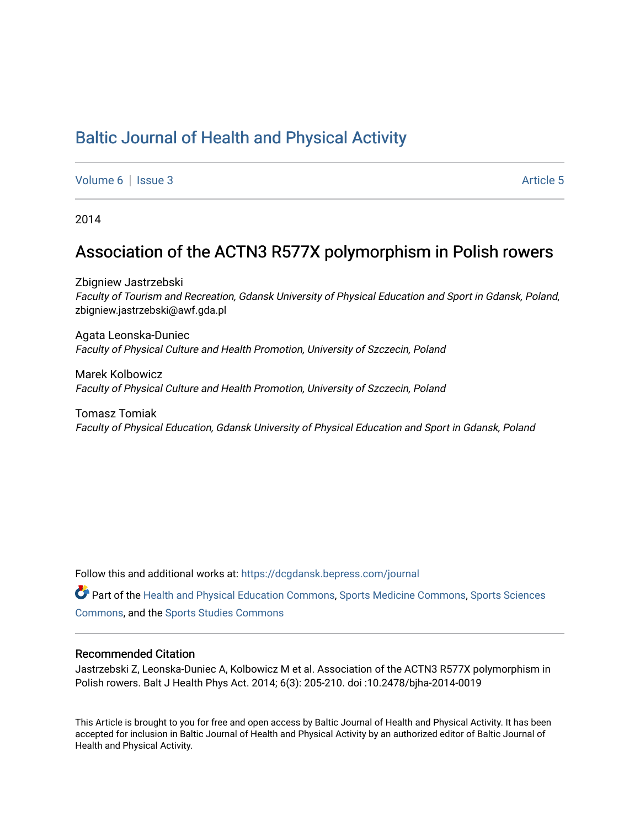# [Baltic Journal of Health and Physical Activity](https://dcgdansk.bepress.com/journal)

[Volume 6](https://dcgdansk.bepress.com/journal/vol6) | [Issue 3](https://dcgdansk.bepress.com/journal/vol6/iss3) Article 5

2014

## Association of the ACTN3 R577X polymorphism in Polish rowers

Zbigniew Jastrzebski Faculty of Tourism and Recreation, Gdansk University of Physical Education and Sport in Gdansk, Poland, zbigniew.jastrzebski@awf.gda.pl

Agata Leonska-Duniec Faculty of Physical Culture and Health Promotion, University of Szczecin, Poland

Marek Kolbowicz Faculty of Physical Culture and Health Promotion, University of Szczecin, Poland

Tomasz Tomiak Faculty of Physical Education, Gdansk University of Physical Education and Sport in Gdansk, Poland

Follow this and additional works at: [https://dcgdansk.bepress.com/journal](https://dcgdansk.bepress.com/journal?utm_source=dcgdansk.bepress.com%2Fjournal%2Fvol6%2Fiss3%2F5&utm_medium=PDF&utm_campaign=PDFCoverPages)

Part of the [Health and Physical Education Commons](http://network.bepress.com/hgg/discipline/1327?utm_source=dcgdansk.bepress.com%2Fjournal%2Fvol6%2Fiss3%2F5&utm_medium=PDF&utm_campaign=PDFCoverPages), [Sports Medicine Commons,](http://network.bepress.com/hgg/discipline/1331?utm_source=dcgdansk.bepress.com%2Fjournal%2Fvol6%2Fiss3%2F5&utm_medium=PDF&utm_campaign=PDFCoverPages) [Sports Sciences](http://network.bepress.com/hgg/discipline/759?utm_source=dcgdansk.bepress.com%2Fjournal%2Fvol6%2Fiss3%2F5&utm_medium=PDF&utm_campaign=PDFCoverPages) [Commons](http://network.bepress.com/hgg/discipline/759?utm_source=dcgdansk.bepress.com%2Fjournal%2Fvol6%2Fiss3%2F5&utm_medium=PDF&utm_campaign=PDFCoverPages), and the [Sports Studies Commons](http://network.bepress.com/hgg/discipline/1198?utm_source=dcgdansk.bepress.com%2Fjournal%2Fvol6%2Fiss3%2F5&utm_medium=PDF&utm_campaign=PDFCoverPages) 

#### Recommended Citation

Jastrzebski Z, Leonska-Duniec A, Kolbowicz M et al. Association of the ACTN3 R577X polymorphism in Polish rowers. Balt J Health Phys Act. 2014; 6(3): 205-210. doi :10.2478/bjha-2014-0019

This Article is brought to you for free and open access by Baltic Journal of Health and Physical Activity. It has been accepted for inclusion in Baltic Journal of Health and Physical Activity by an authorized editor of Baltic Journal of Health and Physical Activity.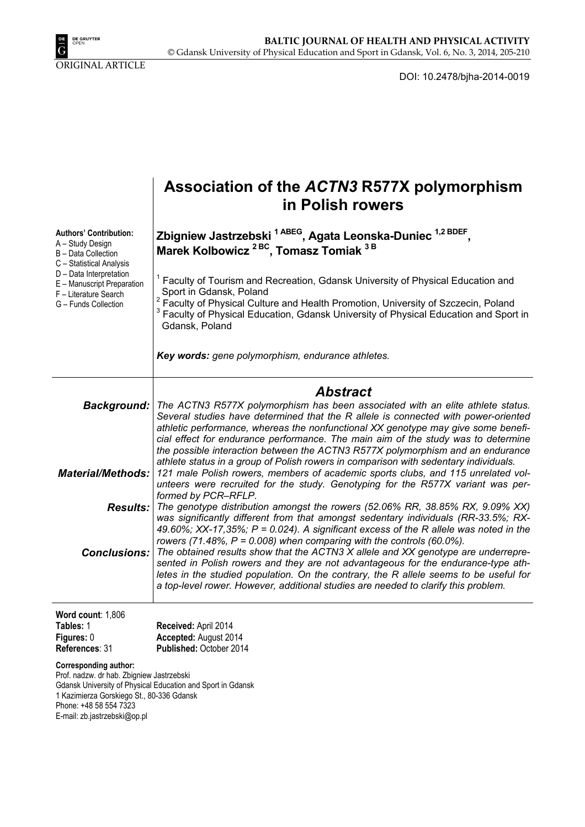

DOI: 10.2478/bjha-2014-0019

|                                                                                                                                                                                                                                                 | Association of the ACTN3 R577X polymorphism<br>in Polish rowers                                                                                                                                                                                                                                                                                                                                                                                                                                                                                                                                                                                                                                                                                                                                                                                                                                                                                                                                                           |  |  |  |  |  |  |
|-------------------------------------------------------------------------------------------------------------------------------------------------------------------------------------------------------------------------------------------------|---------------------------------------------------------------------------------------------------------------------------------------------------------------------------------------------------------------------------------------------------------------------------------------------------------------------------------------------------------------------------------------------------------------------------------------------------------------------------------------------------------------------------------------------------------------------------------------------------------------------------------------------------------------------------------------------------------------------------------------------------------------------------------------------------------------------------------------------------------------------------------------------------------------------------------------------------------------------------------------------------------------------------|--|--|--|--|--|--|
| <b>Authors' Contribution:</b><br>A - Study Design<br>B - Data Collection<br>C - Statistical Analysis<br>D - Data Interpretation<br>E - Manuscript Preparation<br>F - Literature Search<br>G - Funds Collection                                  | Zbigniew Jastrzebski <sup>1 ABEG</sup> , Agata Leonska-Duniec <sup>1,2 BDEF</sup> ,<br>Marek Kolbowicz <sup>2BC</sup> , Tomasz Tomiak <sup>3B</sup>                                                                                                                                                                                                                                                                                                                                                                                                                                                                                                                                                                                                                                                                                                                                                                                                                                                                       |  |  |  |  |  |  |
|                                                                                                                                                                                                                                                 | Faculty of Tourism and Recreation, Gdansk University of Physical Education and<br>Sport in Gdansk, Poland<br>Faculty of Physical Culture and Health Promotion, University of Szczecin, Poland<br>Faculty of Physical Education, Gdansk University of Physical Education and Sport in<br>Gdansk, Poland                                                                                                                                                                                                                                                                                                                                                                                                                                                                                                                                                                                                                                                                                                                    |  |  |  |  |  |  |
|                                                                                                                                                                                                                                                 | Key words: gene polymorphism, endurance athletes.                                                                                                                                                                                                                                                                                                                                                                                                                                                                                                                                                                                                                                                                                                                                                                                                                                                                                                                                                                         |  |  |  |  |  |  |
|                                                                                                                                                                                                                                                 | <b>Abstract</b><br>Background:   The ACTN3 R577X polymorphism has been associated with an elite athlete status.<br>Several studies have determined that the R allele is connected with power-oriented<br>athletic performance, whereas the nonfunctional XX genotype may give some benefi-<br>cial effect for endurance performance. The main aim of the study was to determine<br>the possible interaction between the ACTN3 R577X polymorphism and an endurance<br>athlete status in a group of Polish rowers in comparison with sedentary individuals.<br>121 male Polish rowers, members of academic sports clubs, and 115 unrelated vol-<br>unteers were recruited for the study. Genotyping for the R577X variant was per-<br>formed by PCR-RFLP.<br>The genotype distribution amongst the rowers (52.06% RR, 38.85% RX, 9.09% XX)<br>was significantly different from that amongst sedentary individuals (RR-33.5%; RX-<br>49.60%; XX-17,35%; $P = 0.024$ ). A significant excess of the R allele was noted in the |  |  |  |  |  |  |
| <b>Material/Methods:</b>                                                                                                                                                                                                                        |                                                                                                                                                                                                                                                                                                                                                                                                                                                                                                                                                                                                                                                                                                                                                                                                                                                                                                                                                                                                                           |  |  |  |  |  |  |
| Results:                                                                                                                                                                                                                                        |                                                                                                                                                                                                                                                                                                                                                                                                                                                                                                                                                                                                                                                                                                                                                                                                                                                                                                                                                                                                                           |  |  |  |  |  |  |
|                                                                                                                                                                                                                                                 | rowers (71.48%, $P = 0.008$ ) when comparing with the controls (60.0%).<br><b>Conclusions:</b> The obtained results show that the ACTN3 X allele and XX genotype are underrepre-<br>sented in Polish rowers and they are not advantageous for the endurance-type ath-<br>letes in the studied population. On the contrary, the R allele seems to be useful for<br>a top-level rower. However, additional studies are needed to clarify this problem.                                                                                                                                                                                                                                                                                                                                                                                                                                                                                                                                                                      |  |  |  |  |  |  |
| Word count: 1,806<br>Tables: 1                                                                                                                                                                                                                  | Received: April 2014                                                                                                                                                                                                                                                                                                                                                                                                                                                                                                                                                                                                                                                                                                                                                                                                                                                                                                                                                                                                      |  |  |  |  |  |  |
| Figures: 0<br>References: 31                                                                                                                                                                                                                    | Accepted: August 2014<br>Published: October 2014                                                                                                                                                                                                                                                                                                                                                                                                                                                                                                                                                                                                                                                                                                                                                                                                                                                                                                                                                                          |  |  |  |  |  |  |
| <b>Corresponding author:</b><br>Prof. nadzw. dr hab. Zbigniew Jastrzebski<br>Gdansk University of Physical Education and Sport in Gdansk<br>1 Kazimierza Gorskiego St., 80-336 Gdansk<br>Phone: +48 58 554 7323<br>E-mail: zb.jastrzebski@op.pl |                                                                                                                                                                                                                                                                                                                                                                                                                                                                                                                                                                                                                                                                                                                                                                                                                                                                                                                                                                                                                           |  |  |  |  |  |  |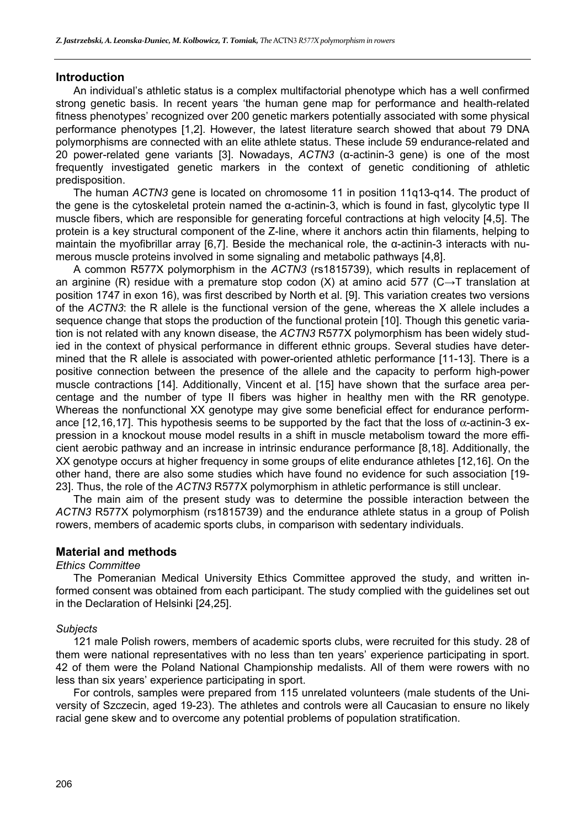#### **Introduction**

An individual's athletic status is a complex multifactorial phenotype which has a well confirmed strong genetic basis. In recent years 'the human gene map for performance and health-related fitness phenotypes' recognized over 200 genetic markers potentially associated with some physical performance phenotypes [1,2]. However, the latest literature search showed that about 79 DNA polymorphisms are connected with an elite athlete status. These include 59 endurance-related and 20 power-related gene variants [3]. Nowadays, *ACTN3* (α-actinin-3 gene) is one of the most frequently investigated genetic markers in the context of genetic conditioning of athletic predisposition.

The human *ACTN3* gene is located on chromosome 11 in position 11q13-q14. The product of the gene is the cytoskeletal protein named the α-actinin-3, which is found in fast, glycolytic type II muscle fibers, which are responsible for generating forceful contractions at high velocity [4,5]. The protein is a key structural component of the Z-line, where it anchors actin thin filaments, helping to maintain the myofibrillar array [6,7]. Beside the mechanical role, the α-actinin-3 interacts with numerous muscle proteins involved in some signaling and metabolic pathways [4,8].

A common R577X polymorphism in the *ACTN3* (rs1815739), which results in replacement of an arginine (R) residue with a premature stop codon (X) at amino acid 577 (C $\rightarrow$ T translation at position 1747 in exon 16), was first described by North et al. [9]. This variation creates two versions of the *ACTN3*: the R allele is the functional version of the gene, whereas the X allele includes a sequence change that stops the production of the functional protein [10]. Though this genetic variation is not related with any known disease, the *ACTN3* R577X polymorphism has been widely studied in the context of physical performance in different ethnic groups. Several studies have determined that the R allele is associated with power-oriented athletic performance [11-13]. There is a positive connection between the presence of the allele and the capacity to perform high-power muscle contractions [14]. Additionally, Vincent et al. [15] have shown that the surface area percentage and the number of type II fibers was higher in healthy men with the RR genotype. Whereas the nonfunctional XX genotype may give some beneficial effect for endurance performance [12,16,17]. This hypothesis seems to be supported by the fact that the loss of  $\alpha$ -actinin-3 expression in a knockout mouse model results in a shift in muscle metabolism toward the more efficient aerobic pathway and an increase in intrinsic endurance performance [8,18]. Additionally, the XX genotype occurs at higher frequency in some groups of elite endurance athletes [12,16]. On the other hand, there are also some studies which have found no evidence for such association [19- 23]. Thus, the role of the *ACTN3* R577X polymorphism in athletic performance is still unclear.

The main aim of the present study was to determine the possible interaction between the *ACTN3* R577X polymorphism (rs1815739) and the endurance athlete status in a group of Polish rowers, members of academic sports clubs, in comparison with sedentary individuals.

## **Material and methods**

#### *Ethics Committee*

The Pomeranian Medical University Ethics Committee approved the study, and written informed consent was obtained from each participant. The study complied with the guidelines set out in the Declaration of Helsinki [24,25].

#### *Subjects*

121 male Polish rowers, members of academic sports clubs, were recruited for this study. 28 of them were national representatives with no less than ten years' experience participating in sport. 42 of them were the Poland National Championship medalists. All of them were rowers with no less than six years' experience participating in sport.

For controls, samples were prepared from 115 unrelated volunteers (male students of the University of Szczecin, aged 19-23). The athletes and controls were all Caucasian to ensure no likely racial gene skew and to overcome any potential problems of population stratification.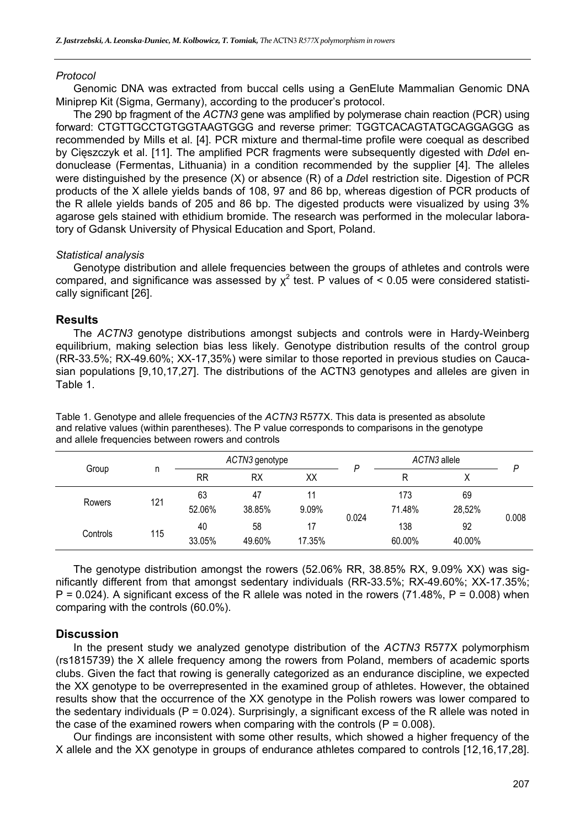## *Protocol*

Genomic DNA was extracted from buccal cells using a GenElute Mammalian Genomic DNA Miniprep Kit (Sigma, Germany), according to the producer's protocol.

The 290 bp fragment of the *ACTN3* gene was amplified by polymerase chain reaction (PCR) using forward: CTGTTGCCTGTGGTAAGTGGG and reverse primer: TGGTCACAGTATGCAGGAGGG as recommended by Mills et al. [4]. PCR mixture and thermal-time profile were coequal as described by Cięszczyk et al. [11]. The amplified PCR fragments were subsequently digested with *Dde*I endonuclease (Fermentas, Lithuania) in a condition recommended by the supplier [4]. The alleles were distinguished by the presence (X) or absence (R) of a *Dde*I restriction site. Digestion of PCR products of the X allele yields bands of 108, 97 and 86 bp, whereas digestion of PCR products of the R allele yields bands of 205 and 86 bp. The digested products were visualized by using 3% agarose gels stained with ethidium bromide. The research was performed in the molecular laboratory of Gdansk University of Physical Education and Sport, Poland.

## *Statistical analysis*

Genotype distribution and allele frequencies between the groups of athletes and controls were compared, and significance was assessed by  $\chi^2$  test. P values of < 0.05 were considered statistically significant [26].

## **Results**

The *ACTN3* genotype distributions amongst subjects and controls were in Hardy-Weinberg equilibrium, making selection bias less likely. Genotype distribution results of the control group (RR-33.5%; RX-49.60%; XX-17,35%) were similar to those reported in previous studies on Caucasian populations [9,10,17,27]. The distributions of the ACTN3 genotypes and alleles are given in Table 1.

| Group    | n   | ACTN3 genotype |           |        |       | ACTN3 allele |        | P     |
|----------|-----|----------------|-----------|--------|-------|--------------|--------|-------|
|          |     | <b>RR</b>      | <b>RX</b> | XХ     |       | R            | v<br>∧ |       |
| Rowers   | 121 | 63             | 47        | 11     | 0.024 | 173          | 69     | 0.008 |
|          |     | 52.06%         | 38.85%    | 9.09%  |       | 71.48%       | 28,52% |       |
| Controls | 115 | 40             | 58        | 17     |       | 138          | 92     |       |
|          |     | 33.05%         | 49.60%    | 17.35% |       | 60.00%       | 40.00% |       |

Table 1. Genotype and allele frequencies of the *ACTN3* R577X. This data is presented as absolute and relative values (within parentheses). The P value corresponds to comparisons in the genotype and allele frequencies between rowers and controls

The genotype distribution amongst the rowers (52.06% RR, 38.85% RX, 9.09% XX) was significantly different from that amongst sedentary individuals (RR-33.5%; RX-49.60%; XX-17.35%;  $P = 0.024$ ). A significant excess of the R allele was noted in the rowers (71.48%,  $P = 0.008$ ) when comparing with the controls (60.0%).

#### **Discussion**

In the present study we analyzed genotype distribution of the *ACTN3* R577X polymorphism (rs1815739) the X allele frequency among the rowers from Poland, members of academic sports clubs. Given the fact that rowing is generally categorized as an endurance discipline, we expected the XX genotype to be overrepresented in the examined group of athletes. However, the obtained results show that the occurrence of the XX genotype in the Polish rowers was lower compared to the sedentary individuals ( $P = 0.024$ ). Surprisingly, a significant excess of the R allele was noted in the case of the examined rowers when comparing with the controls  $(P = 0.008)$ .

Our findings are inconsistent with some other results, which showed a higher frequency of the X allele and the XX genotype in groups of endurance athletes compared to controls [12,16,17,28].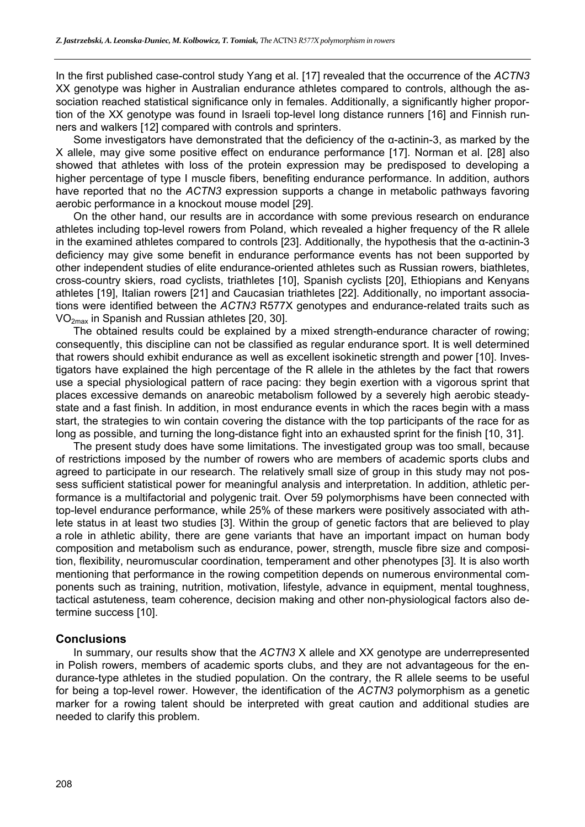In the first published case-control study Yang et al. [17] revealed that the occurrence of the *ACTN3* XX genotype was higher in Australian endurance athletes compared to controls, although the association reached statistical significance only in females. Additionally, a significantly higher proportion of the XX genotype was found in Israeli top-level long distance runners [16] and Finnish runners and walkers [12] compared with controls and sprinters.

Some investigators have demonstrated that the deficiency of the α-actinin-3, as marked by the X allele, may give some positive effect on endurance performance [17]. Norman et al. [28] also showed that athletes with loss of the protein expression may be predisposed to developing a higher percentage of type I muscle fibers, benefiting endurance performance. In addition, authors have reported that no the *ACTN3* expression supports a change in metabolic pathways favoring aerobic performance in a knockout mouse model [29].

On the other hand, our results are in accordance with some previous research on endurance athletes including top-level rowers from Poland, which revealed a higher frequency of the R allele in the examined athletes compared to controls [23]. Additionally, the hypothesis that the α-actinin-3 deficiency may give some benefit in endurance performance events has not been supported by other independent studies of elite endurance-oriented athletes such as Russian rowers, biathletes, cross-country skiers, road cyclists, triathletes [10], Spanish cyclists [20], Ethiopians and Kenyans athletes [19], Italian rowers [21] and Caucasian triathletes [22]. Additionally, no important associations were identified between the *ACTN3* R577X genotypes and endurance-related traits such as VO2max in Spanish and Russian athletes [20, 30].

The obtained results could be explained by a mixed strength-endurance character of rowing; consequently, this discipline can not be classified as regular endurance sport. It is well determined that rowers should exhibit endurance as well as excellent isokinetic strength and power [10]. Investigators have explained the high percentage of the R allele in the athletes by the fact that rowers use a special physiological pattern of race pacing: they begin exertion with a vigorous sprint that places excessive demands on anareobic metabolism followed by a severely high aerobic steadystate and a fast finish. In addition, in most endurance events in which the races begin with a mass start, the strategies to win contain covering the distance with the top participants of the race for as long as possible, and turning the long-distance fight into an exhausted sprint for the finish [10, 31].

The present study does have some limitations. The investigated group was too small, because of restrictions imposed by the number of rowers who are members of academic sports clubs and agreed to participate in our research. The relatively small size of group in this study may not possess sufficient statistical power for meaningful analysis and interpretation. In addition, athletic performance is a multifactorial and polygenic trait. Over 59 polymorphisms have been connected with top-level endurance performance, while 25% of these markers were positively associated with athlete status in at least two studies [3]. Within the group of genetic factors that are believed to play a role in athletic ability, there are gene variants that have an important impact on human body composition and metabolism such as endurance, power, strength, muscle fibre size and composition, flexibility, neuromuscular coordination, temperament and other phenotypes [3]. It is also worth mentioning that performance in the rowing competition depends on numerous environmental components such as training, nutrition, motivation, lifestyle, advance in equipment, mental toughness, tactical astuteness, team coherence, decision making and other non-physiological factors also determine success [10].

#### **Conclusions**

In summary, our results show that the *ACTN3* X allele and XX genotype are underrepresented in Polish rowers, members of academic sports clubs, and they are not advantageous for the endurance-type athletes in the studied population. On the contrary, the R allele seems to be useful for being a top-level rower. However, the identification of the *ACTN3* polymorphism as a genetic marker for a rowing talent should be interpreted with great caution and additional studies are needed to clarify this problem.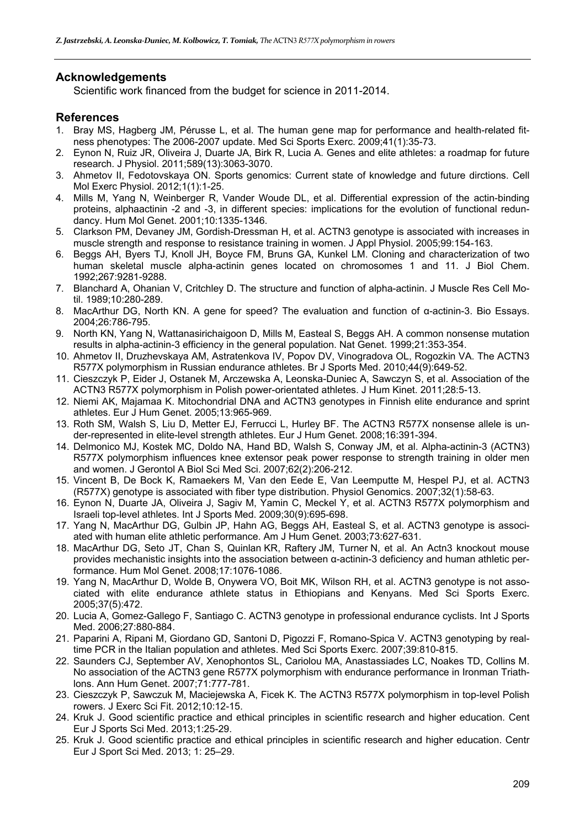## **Acknowledgements**

Scientific work financed from the budget for science in 2011-2014.

## **References**

- 1. Bray MS, Hagberg JM, Pérusse L, et al. The human gene map for performance and health-related fitness phenotypes: The 2006-2007 update. Med Sci Sports Exerc. 2009;41(1):35-73.
- 2. Eynon N, Ruiz JR, Oliveira J, Duarte JA, Birk R, Lucia A. Genes and elite athletes: a roadmap for future research. J Physiol. 2011;589(13):3063-3070.
- 3. Ahmetov II, Fedotovskaya ON. Sports genomics: Current state of knowledge and future dirctions. Cell Mol Exerc Physiol. 2012;1(1):1-25.
- 4. Mills M, Yang N, Weinberger R, Vander Woude DL, et al. Differential expression of the actin-binding proteins, alphaactinin -2 and -3, in different species: implications for the evolution of functional redundancy. Hum Mol Genet. 2001;10:1335-1346.
- 5. Clarkson PM, Devaney JM, Gordish-Dressman H, et al. ACTN3 genotype is associated with increases in muscle strength and response to resistance training in women. J Appl Physiol. 2005;99:154-163.
- 6. Beggs AH, Byers TJ, Knoll JH, Boyce FM, Bruns GA, Kunkel LM. Cloning and characterization of two human skeletal muscle alpha-actinin genes located on chromosomes 1 and 11. J Biol Chem. 1992;267:9281-9288.
- 7. Blanchard A, Ohanian V, Critchley D. The structure and function of alpha-actinin. J Muscle Res Cell Motil. 1989;10:280-289.
- 8. MacArthur DG, North KN. A gene for speed? The evaluation and function of α-actinin-3. Bio Essays. 2004;26:786-795.
- 9. North KN, Yang N, Wattanasirichaigoon D, Mills M, Easteal S, Beggs AH. A common nonsense mutation results in alpha-actinin-3 efficiency in the general population. Nat Genet. 1999;21:353-354.
- 10. Ahmetov II, Druzhevskaya AM, Astratenkova IV, Popov DV, Vinogradova OL, Rogozkin VA. The ACTN3 R577X polymorphism in Russian endurance athletes. Br J Sports Med. 2010;44(9):649-52.
- 11. Cieszczyk P, Eider J, Ostanek M, Arczewska A, Leonska-Duniec A, Sawczyn S, et al. Association of the ACTN3 R577X polymorphism in Polish power-orientated athletes. J Hum Kinet. 2011;28:5-13.
- 12. Niemi AK, Majamaa K. Mitochondrial DNA and ACTN3 genotypes in Finnish elite endurance and sprint athletes. Eur J Hum Genet. 2005;13:965-969.
- 13. Roth SM, Walsh S, Liu D, Metter EJ, Ferrucci L, Hurley BF. The ACTN3 R577X nonsense allele is under-represented in elite-level strength athletes. Eur J Hum Genet. 2008;16:391-394.
- 14. Delmonico MJ, Kostek MC, Doldo NA, Hand BD, Walsh S, Conway JM, et al. Alpha-actinin-3 (ACTN3) R577X polymorphism influences knee extensor peak power response to strength training in older men and women. J Gerontol A Biol Sci Med Sci. 2007;62(2):206-212.
- 15. Vincent B, De Bock K, Ramaekers M, Van den Eede E, Van Leemputte M, Hespel PJ, et al. ACTN3 (R577X) genotype is associated with fiber type distribution. Physiol Genomics. 2007;32(1):58-63.
- 16. Eynon N, Duarte JA, Oliveira J, Sagiv M, Yamin C, Meckel Y, et al. ACTN3 R577X polymorphism and Israeli top-level athletes. Int J Sports Med. 2009;30(9):695-698.
- 17. Yang N, MacArthur DG, Gulbin JP, Hahn AG, Beggs AH, Easteal S, et al. ACTN3 genotype is associated with human elite athletic performance. Am J Hum Genet. 2003;73:627-631.
- 18. MacArthur DG, Seto JT, Chan S, Quinlan KR, Raftery JM, Turner N, et al. An Actn3 knockout mouse provides mechanistic insights into the association between α-actinin-3 deficiency and human athletic performance. Hum Mol Genet. 2008;17:1076-1086.
- 19. Yang N, MacArthur D, Wolde B, Onywera VO, Boit MK, Wilson RH, et al. ACTN3 genotype is not associated with elite endurance athlete status in Ethiopians and Kenyans. Med Sci Sports Exerc. 2005;37(5):472.
- 20. Lucia A, Gomez-Gallego F, Santiago C. ACTN3 genotype in professional endurance cyclists. Int J Sports Med. 2006;27:880-884.
- 21. Paparini A, Ripani M, Giordano GD, Santoni D, Pigozzi F, Romano-Spica V. ACTN3 genotyping by realtime PCR in the Italian population and athletes. Med Sci Sports Exerc. 2007;39:810-815.
- 22. Saunders CJ, September AV, Xenophontos SL, Cariolou MA, Anastassiades LC, Noakes TD, Collins M. No association of the ACTN3 gene R577X polymorphism with endurance performance in Ironman Triathlons. Ann Hum Genet. 2007;71:777-781.
- 23. Cieszczyk P, Sawczuk M, Maciejewska A, Ficek K. The ACTN3 R577X polymorphism in top-level Polish rowers. J Exerc Sci Fit. 2012;10:12-15.
- 24. Kruk J. Good scientific practice and ethical principles in scientific research and higher education. Cent Eur J Sports Sci Med. 2013;1:25-29.
- 25. Kruk J. Good scientific practice and ethical principles in scientific research and higher education. Centr Eur J Sport Sci Med. 2013; 1: 25–29.